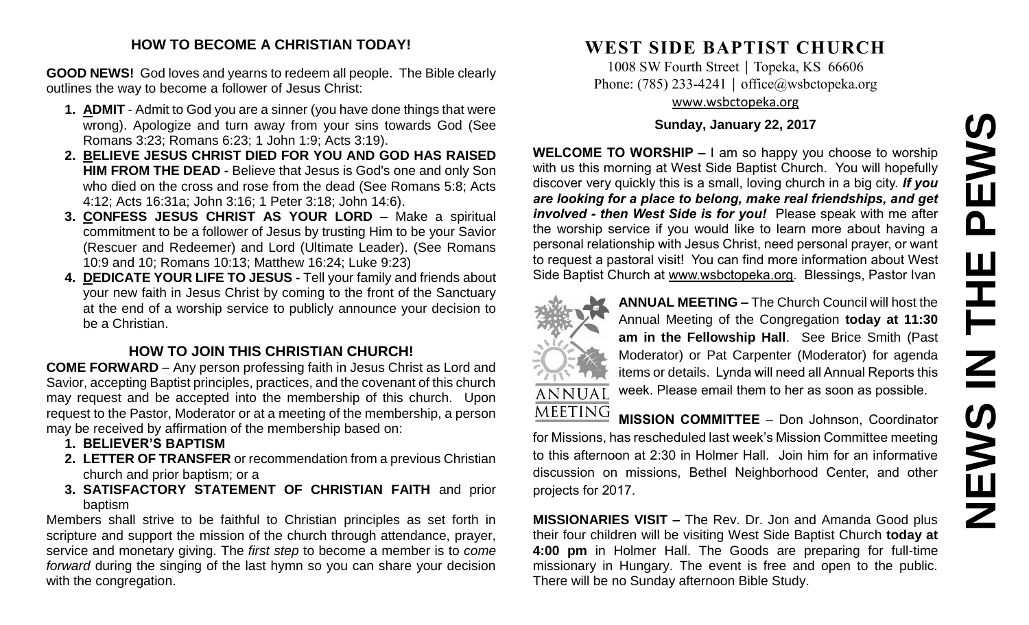# **NEWS IN THE PEWS**PEWS HH<br>N<br>N<br>N **SANEWS**

### **HOW TO BECOME A CHRISTIAN TODAY!**

**GOOD NEWS!** God loves and yearns to redeem all people. The Bible clearly outlines the way to become a follower of Jesus Christ:

- **1. ADMIT** Admit to God you are a sinner (you have done things that were wrong). Apologize and turn away from your sins towards God (See Romans 3:23; Romans 6:23; 1 John 1:9; Acts 3:19).
- **2. BELIEVE JESUS CHRIST DIED FOR YOU AND GOD HAS RAISED HIM FROM THE DEAD -** Believe that Jesus is God's one and only Son who died on the cross and rose from the dead (See Romans 5:8; Acts 4:12; Acts 16:31a; John 3:16; 1 Peter 3:18; John 14:6).
- **3. CONFESS JESUS CHRIST AS YOUR LORD –** Make a spiritual commitment to be a follower of Jesus by trusting Him to be your Savior (Rescuer and Redeemer) and Lord (Ultimate Leader). (See Romans 10:9 and 10; Romans 10:13; Matthew 16:24; Luke 9:23)
- **4. DEDICATE YOUR LIFE TO JESUS -** Tell your family and friends about your new faith in Jesus Christ by coming to the front of the Sanctuary at the end of a worship service to publicly announce your decision to be a Christian.

## **HOW TO JOIN THIS CHRISTIAN CHURCH!**

**COME FORWARD** – Any person professing faith in Jesus Christ as Lord and Savior, accepting Baptist principles, practices, and the covenant of this church may request and be accepted into the membership of this church. Upon request to the Pastor, Moderator or at a meeting of the membership, a person may be received by affirmation of the membership based on:

- **1. BELIEVER'S BAPTISM**
- **2. LETTER OF TRANSFER** or recommendation from a previous Christian church and prior baptism; or a
- **3. SATISFACTORY STATEMENT OF CHRISTIAN FAITH** and prior baptism

Members shall strive to be faithful to Christian principles as set forth in scripture and support the mission of the church through attendance, prayer, service and monetary giving. The *first step* to become a member is to *come forward* during the singing of the last hymn so you can share your decision with the congregation.

# **WEST SIDE BAPTIST CHURCH**

1008 SW Fourth Street | Topeka, KS 66606 Phone: (785) 233-4241 │ [office@wsbctopeka.org](mailto:office@wsbctopeka.org) [www.wsbctopeka.org](http://www.wsbctopeka.org/)

### **Sunday, January 22, 2017**

**WELCOME TO WORSHIP –** I am so happy you choose to worship with us this morning at West Side Baptist Church. You will hopefully discover very quickly this is a small, loving church in a big city. *If you are looking for a place to belong, make real friendships, and get involved - then West Side is for you!* Please speak with me after the worship service if you would like to learn more about having a personal relationship with Jesus Christ, need personal prayer, or want to request a pastoral visit! You can find more information about West Side Baptist Church at [www.wsbctopeka.org.](http://www.wsbctopeka.org/) Blessings, Pastor Ivan



**ANNUAL MEETING –** The Church Council will host the Annual Meeting of the Congregation **today at 11:30 am in the Fellowship Hall**. See Brice Smith (Past Moderator) or Pat Carpenter (Moderator) for agenda items or details. Lynda will need all Annual Reports this week. Please email them to her as soon as possible.

**MEETING MISSION COMMITTEE** – Don Johnson, Coordinator for Missions, has rescheduled last week's Mission Committee meeting to this afternoon at 2:30 in Holmer Hall. Join him for an informative discussion on missions, Bethel Neighborhood Center, and other projects for 2017.

**MISSIONARIES VISIT –** The Rev. Dr. Jon and Amanda Good plus their four children will be visiting West Side Baptist Church **today at 4:00 pm** in Holmer Hall. The Goods are preparing for full-time missionary in Hungary. The event is free and open to the public. There will be no Sunday afternoon Bible Study.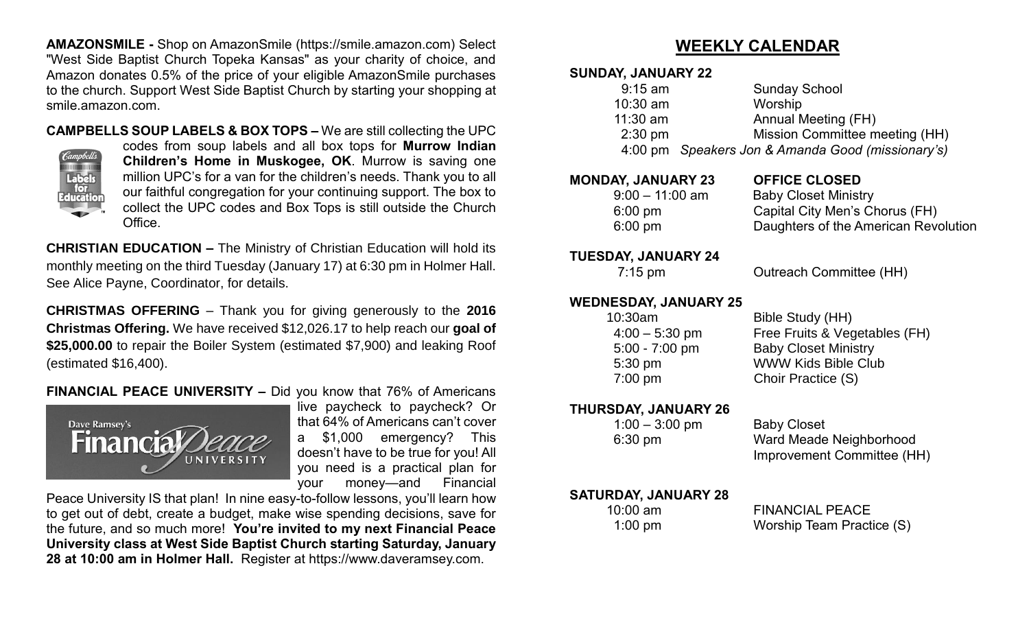**AMAZONSMILE -** Shop on AmazonSmile (https://smile.amazon.com) Select "West Side Baptist Church Topeka Kansas" as your charity of choice, and Amazon donates 0.5% of the price of your eligible AmazonSmile purchases to the church. Support West Side Baptist Church by starting your shopping at smile.amazon.com.

**CAMPBELLS SOUP LABELS & BOX TOPS –** We are still collecting the UPC



codes from soup labels and all box tops for **Murrow Indian Children's Home in Muskogee, OK**. Murrow is saving one million UPC's for a van for the children's needs. Thank you to all our faithful congregation for your continuing support. The box to collect the UPC codes and Box Tops is still outside the Church Office.

**CHRISTIAN EDUCATION –** The Ministry of Christian Education will hold its monthly meeting on the third Tuesday (January 17) at 6:30 pm in Holmer Hall. See Alice Payne, Coordinator, for details.

**CHRISTMAS OFFERING** – Thank you for giving generously to the **2016 Christmas Offering.** We have received \$12,026.17 to help reach our **goal of \$25,000.00** to repair the Boiler System (estimated \$7,900) and leaking Roof (estimated \$16,400).

### **FINANCIAL PEACE UNIVERSITY –** Did you know that 76% of Americans



live paycheck to paycheck? Or that 64% of Americans can't cover a \$1,000 emergency? This doesn't have to be true for you! All you need is a practical plan for your money—and Financial

Peace University IS that plan! In nine easy-to-follow lessons, you'll learn how to get out of debt, create a budget, make wise spending decisions, save for the future, and so much more! **You're invited to my next Financial Peace University class at West Side Baptist Church starting Saturday, January 28 at 10:00 am in Holmer Hall.** Register at https://www.daveramsey.com.

# **WEEKLY CALENDAR**

### **SUNDAY, JANUARY 22**

| $9:15$ am  | <b>Sunday School</b>                              |
|------------|---------------------------------------------------|
| $10:30$ am | Worship                                           |
| $11:30$ am | Annual Meeting (FH)                               |
| $2:30$ pm  | Mission Committee meeting (HH)                    |
|            | 4:00 pm Speakers Jon & Amanda Good (missionary's) |
|            |                                                   |

### **MONDAY, JANUARY 23 OFFICE CLOSED**   $9:00 - 11:00$  am

| AI, JANUANI ZJ    | ULLIVE VLVJED                        |
|-------------------|--------------------------------------|
| $9:00 - 11:00$ am | <b>Baby Closet Ministry</b>          |
| $6:00 \text{ pm}$ | Capital City Men's Chorus (FH)       |
| $6:00 \text{ pm}$ | Daughters of the American Revolution |

### **TUESDAY, JANUARY 24**

7:15 pm Outreach Committee (HH)

**WEDNESDAY, JANUARY 25**

| 10:30am          |  |
|------------------|--|
| $4:00 - 5:30$ pm |  |
| $5:00 - 7:00$ pm |  |
| 5:30 pm          |  |
| 7:00 pm          |  |

Bible Study (HH) Free Fruits & Vegetables (FH) Baby Closet Ministry WWW Kids Bible Club Choir Practice (S)

**THURSDAY, JANUARY 26** 

| $1:00 - 3:00$ pm |  |
|------------------|--|
| $6:30$ pm        |  |

Baby Closet Ward Meade Neighborhood Improvement Committee (HH)

 **SATURDAY, JANUARY 28**

10:00 am FINANCIAL PEACE 1:00 pm Worship Team Practice (S)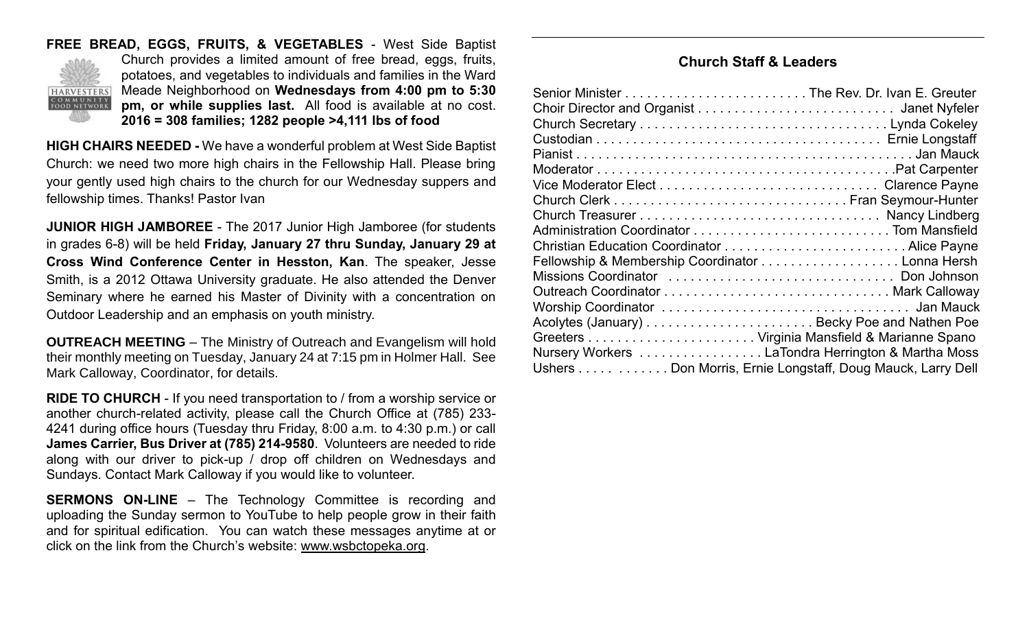### **FREE BREAD, EGGS, FRUITS, & VEGETABLES** - West Side Baptist Church provides a limited amount of free bread, eggs, fruits, potatoes, and vegetables to individuals and families in the Ward Meade Neighborhood on **Wednesdays from 4:00 pm to 5:30 HARVESTERS** COMMUNITY<br>FOOD NETWORK **pm, or while supplies last.** All food is available at no cost.

**2016 = 308 families; 1282 people >4,111 lbs of food**

**HIGH CHAIRS NEEDED -** We have a wonderful problem at West Side Baptist Church: we need two more high chairs in the Fellowship Hall. Please bring your gently used high chairs to the church for our Wednesday suppers and fellowship times. Thanks! Pastor Ivan

**JUNIOR HIGH JAMBOREE** - The 2017 Junior High Jamboree (for students in grades 6-8) will be held **Friday, January 27 thru Sunday, January 29 at Cross Wind Conference Center in Hesston, Kan**. The speaker, Jesse Smith, is a 2012 Ottawa University graduate. He also attended the Denver Seminary where he earned his Master of Divinity with a concentration on Outdoor Leadership and an emphasis on youth ministry.

**OUTREACH MEETING** – The Ministry of Outreach and Evangelism will hold their monthly meeting on Tuesday, January 24 at 7:15 pm in Holmer Hall. See Mark Calloway, Coordinator, for details.

**RIDE TO CHURCH** - If you need transportation to / from a worship service or another church-related activity, please call the Church Office at (785) 233- 4241 during office hours (Tuesday thru Friday, 8:00 a.m. to 4:30 p.m.) or call **James Carrier, Bus Driver at (785) 214-9580**. Volunteers are needed to ride along with our driver to pick-up / drop off children on Wednesdays and Sundays. Contact Mark Calloway if you would like to volunteer.

**SERMONS ON-LINE** – The Technology Committee is recording and uploading the Sunday sermon to YouTube to help people grow in their faith and for spiritual edification. You can watch these messages anytime at or click on the link from the Church's website: [www.wsbctopeka.org.](http://www.wsbctopeka.org/)

### **Church Staff & Leaders**

| Fellowship & Membership Coordinator Lonna Hersh            |  |
|------------------------------------------------------------|--|
|                                                            |  |
|                                                            |  |
|                                                            |  |
|                                                            |  |
|                                                            |  |
| Nursery Workers  LaTondra Herrington & Martha Moss         |  |
| Ushers Don Morris, Ernie Longstaff, Doug Mauck, Larry Dell |  |